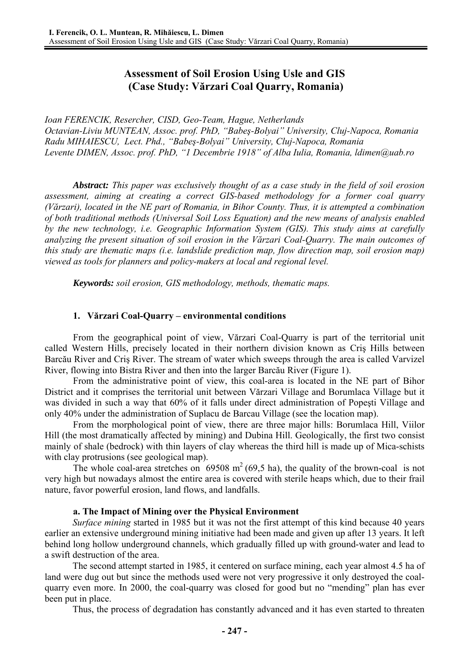# **Assessment of Soil Erosion Using Usle and GIS (Case Study: Vărzari Coal Quarry, Romania)**

*Ioan FERENCIK, Resercher, CISD, Geo-Team, Hague, Netherlands Octavian-Liviu MUNTEAN, Assoc. prof. PhD, "Babeş-Bolyai" University, Cluj-Napoca, Romania Radu MIHAIESCU, Lect. Phd., "Babeş-Bolyai" University, Cluj-Napoca, Romania Levente DIMEN, Assoc. prof. PhD, "1 Decembrie 1918" of Alba Iulia, Romania, ldimen@uab.ro*

*Abstract: This paper was exclusively thought of as a case study in the field of soil erosion assessment, aiming at creating a correct GIS-based methodology for a former coal quarry (Vărzari), located in the NE part of Romania, in Bihor County. Thus, it is attempted a combination of both traditional methods (Universal Soil Loss Equation) and the new means of analysis enabled by the new technology, i.e. Geographic Information System (GIS). This study aims at carefully analyzing the present situation of soil erosion in the Vărzari Coal-Quarry. The main outcomes of this study are thematic maps (i.e. landslide prediction map, flow direction map, soil erosion map) viewed as tools for planners and policy-makers at local and regional level.* 

*Keywords: soil erosion, GIS methodology, methods, thematic maps.* 

#### **1. Vărzari Coal-Quarry – environmental conditions**

From the geographical point of view, Vărzari Coal-Quarry is part of the territorial unit called Western Hills, precisely located in their northern division known as Criş Hills between Barcău River and Criş River. The stream of water which sweeps through the area is called Varvizel River, flowing into Bistra River and then into the larger Barcău River (Figure 1).

From the administrative point of view, this coal-area is located in the NE part of Bihor District and it comprises the territorial unit between Vărzari Village and Borumlaca Village but it was divided in such a way that 60% of it falls under direct administration of Popeşti Village and only 40% under the administration of Suplacu de Barcau Village (see the location map).

From the morphological point of view, there are three major hills: Borumlaca Hill, Viilor Hill (the most dramatically affected by mining) and Dubina Hill. Geologically, the first two consist mainly of shale (bedrock) with thin layers of clay whereas the third hill is made up of Mica-schists with clay protrusions (see geological map).

The whole coal-area stretches on 69508 m<sup>2</sup> (69,5 ha), the quality of the brown-coal is not very high but nowadays almost the entire area is covered with sterile heaps which, due to their frail nature, favor powerful erosion, land flows, and landfalls.

#### **a. The Impact of Mining over the Physical Environment**

*Surface mining* started in 1985 but it was not the first attempt of this kind because 40 years earlier an extensive underground mining initiative had been made and given up after 13 years. It left behind long hollow underground channels, which gradually filled up with ground-water and lead to a swift destruction of the area.

The second attempt started in 1985, it centered on surface mining, each year almost 4.5 ha of land were dug out but since the methods used were not very progressive it only destroyed the coalquarry even more. In 2000, the coal-quarry was closed for good but no "mending" plan has ever been put in place.

Thus, the process of degradation has constantly advanced and it has even started to threaten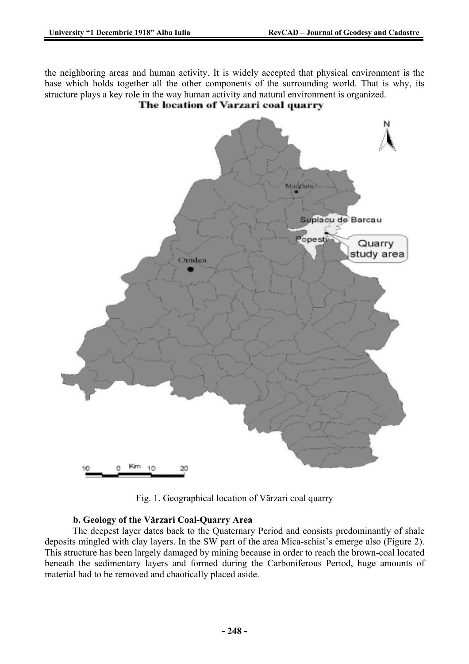the neighboring areas and human activity. It is widely accepted that physical environment is the base which holds together all the other components of the surrounding world. That is why, its structure plays a key role in the way human activity and natural environment is organized.



Fig. 1. Geographical location of Vărzari coal quarry

### **b. Geology of the Vărzari Coal-Quarry Area**

The deepest layer dates back to the Quaternary Period and consists predominantly of shale deposits mingled with clay layers. In the SW part of the area Mica-schist's emerge also (Figure 2). This structure has been largely damaged by mining because in order to reach the brown-coal located beneath the sedimentary layers and formed during the Carboniferous Period, huge amounts of material had to be removed and chaotically placed aside.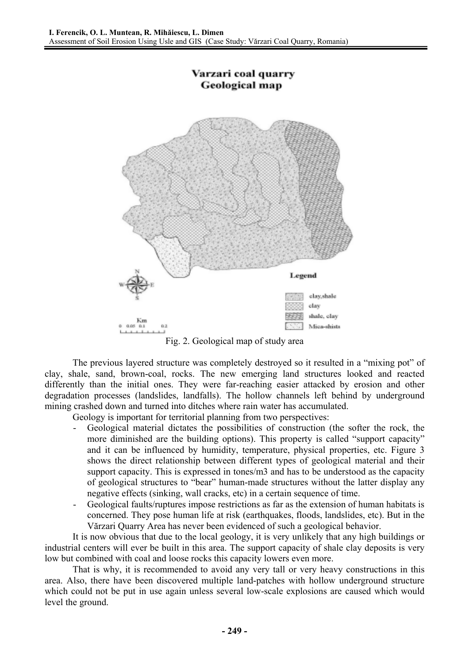

Fig. 2. Geological map of study area

The previous layered structure was completely destroyed so it resulted in a "mixing pot" of clay, shale, sand, brown-coal, rocks. The new emerging land structures looked and reacted differently than the initial ones. They were far-reaching easier attacked by erosion and other degradation processes (landslides, landfalls). The hollow channels left behind by underground mining crashed down and turned into ditches where rain water has accumulated.

Geology is important for territorial planning from two perspectives:

- Geological material dictates the possibilities of construction (the softer the rock, the more diminished are the building options). This property is called "support capacity" and it can be influenced by humidity, temperature, physical properties, etc. Figure 3 shows the direct relationship between different types of geological material and their support capacity. This is expressed in tones/m3 and has to be understood as the capacity of geological structures to "bear" human-made structures without the latter display any negative effects (sinking, wall cracks, etc) in a certain sequence of time.
- Geological faults/ruptures impose restrictions as far as the extension of human habitats is concerned. They pose human life at risk (earthquakes, floods, landslides, etc). But in the Vărzari Quarry Area has never been evidenced of such a geological behavior.

It is now obvious that due to the local geology, it is very unlikely that any high buildings or industrial centers will ever be built in this area. The support capacity of shale clay deposits is very low but combined with coal and loose rocks this capacity lowers even more.

That is why, it is recommended to avoid any very tall or very heavy constructions in this area. Also, there have been discovered multiple land-patches with hollow underground structure which could not be put in use again unless several low-scale explosions are caused which would level the ground.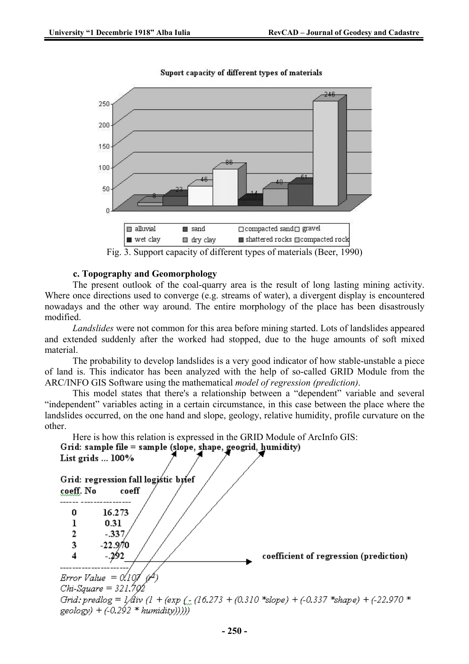

Suport capacity of different types of materials

Fig. 3. Support capacity of different types of materials (Beer, 1990)

#### **c. Topography and Geomorphology**

The present outlook of the coal-quarry area is the result of long lasting mining activity. Where once directions used to converge (e.g. streams of water), a divergent display is encountered nowadays and the other way around. The entire morphology of the place has been disastrously modified.

*Landslides* were not common for this area before mining started. Lots of landslides appeared and extended suddenly after the worked had stopped, due to the huge amounts of soft mixed material.

The probability to develop landslides is a very good indicator of how stable-unstable a piece of land is. This indicator has been analyzed with the help of so-called GRID Module from the ARC/INFO GIS Software using the mathematical *model of regression (prediction)*.

This model states that there's a relationship between a "dependent" variable and several "independent" variables acting in a certain circumstance, in this case between the place where the landslides occurred, on the one hand and slope, geology, relative humidity, profile curvature on the other.

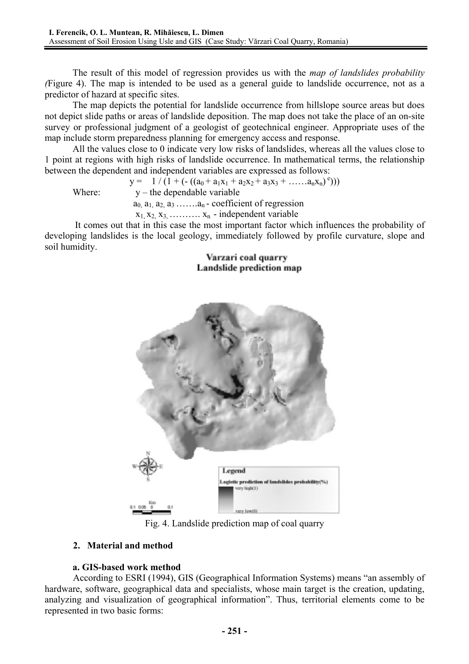The result of this model of regression provides us with the *map of landslides probability (*Figure 4). The map is intended to be used as a general guide to landslide occurrence, not as a predictor of hazard at specific sites.

The map depicts the potential for landslide occurrence from hillslope source areas but does not depict slide paths or areas of landslide deposition. The map does not take the place of an on-site survey or professional judgment of a geologist of geotechnical engineer. Appropriate uses of the map include storm preparedness planning for emergency access and response.

All the values close to 0 indicate very low risks of landslides, whereas all the values close to 1 point at regions with high risks of landslide occurrence. In mathematical terms, the relationship between the dependent and independent variables are expressed as follows:

|        | $y = 1/(1 + (-(a_0 + a_1x_1 + a_2x_2 + a_3x_3 + \dots a_nx_n)^c)))$ |  |
|--------|---------------------------------------------------------------------|--|
| Where: | $y$ – the dependable variable                                       |  |
|        | $a_0$ , $a_1$ , $a_2$ , $a_3$ $a_n$ - coefficient of regression     |  |
|        | $x_1, x_2, x_3, \ldots, x_n$ - independent variable                 |  |

It comes out that in this case the most important factor which influences the probability of developing landslides is the local geology, immediately followed by profile curvature, slope and soil humidity.

Varzari coal quarry Landslide prediction map



Fig. 4. Landslide prediction map of coal quarry

## **2. Material and method**

### **a. GIS-based work method**

According to ESRI (1994), GIS (Geographical Information Systems) means "an assembly of hardware, software, geographical data and specialists, whose main target is the creation, updating, analyzing and visualization of geographical information". Thus, territorial elements come to be represented in two basic forms: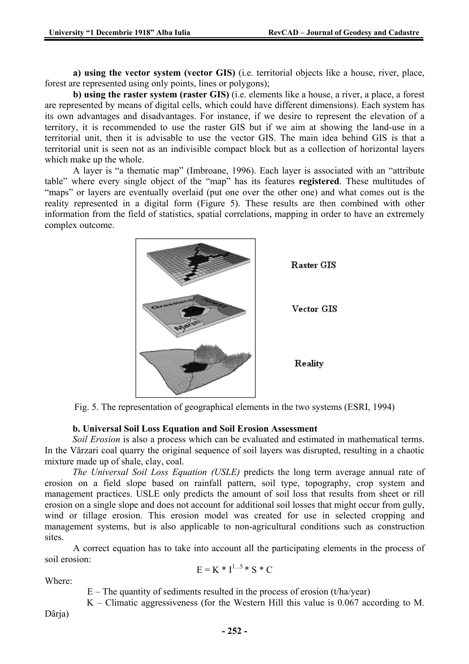**a) using the vector system (vector GIS)** (i.e. territorial objects like a house, river, place, forest are represented using only points, lines or polygons);

**b) using the raster system (raster GIS)** (i.e. elements like a house, a river, a place, a forest are represented by means of digital cells, which could have different dimensions). Each system has its own advantages and disadvantages. For instance, if we desire to represent the elevation of a territory, it is recommended to use the raster GIS but if we aim at showing the land-use in a territorial unit, then it is advisable to use the vector GIS. The main idea behind GIS is that a territorial unit is seen not as an indivisible compact block but as a collection of horizontal layers which make up the whole.

A layer is "a thematic map" (Imbroane, 1996). Each layer is associated with an "attribute table" where every single object of the "map" has its features **registered**. These multitudes of "maps" or layers are eventually overlaid (put one over the other one) and what comes out is the reality represented in a digital form (Figure 5). These results are then combined with other information from the field of statistics, spatial correlations, mapping in order to have an extremely complex outcome.



Fig. 5. The representation of geographical elements in the two systems (ESRI, 1994)

### **b. Universal Soil Loss Equation and Soil Erosion Assessment**

*Soil Erosion* is also a process which can be evaluated and estimated in mathematical terms. In the Vărzari coal quarry the original sequence of soil layers was disrupted, resulting in a chaotic mixture made up of shale, clay, coal.

*The Universal Soil Loss Equation (USLE)* predicts the long term average annual rate of erosion on a field slope based on rainfall pattern, soil type, topography, crop system and management practices. USLE only predicts the amount of soil loss that results from sheet or rill erosion on a single slope and does not account for additional soil losses that might occur from gully, wind or tillage erosion. This erosion model was created for use in selected cropping and management systems, but is also applicable to non-agricultural conditions such as construction sites.

A correct equation has to take into account all the participating elements in the process of soil erosion:

$$
E = K * I^{1...5} * S * C
$$

Where:

 $E$  – The quantity of sediments resulted in the process of erosion (t/ha/year)

K – Climatic aggressiveness (for the Western Hill this value is 0.067 according to M.

Dârja)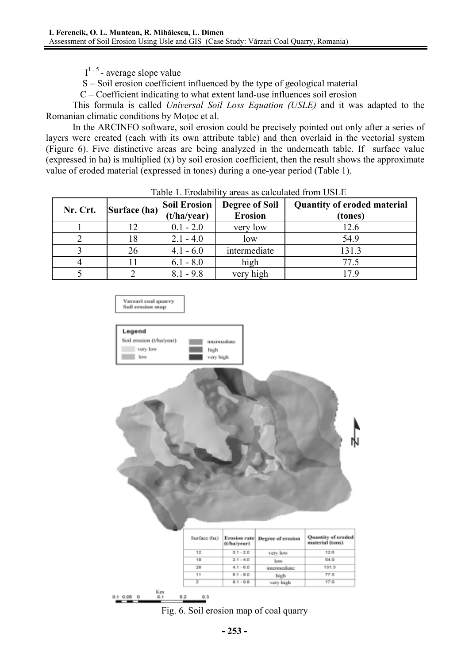$I^{1...5}$  - average slope value

S – Soil erosion coefficient influenced by the type of geological material

C – Coefficient indicating to what extent land-use influences soil erosion

This formula is called *Universal Soil Loss Equation (USLE)* and it was adapted to the Romanian climatic conditions by Moţoc et al.

In the ARCINFO software, soil erosion could be precisely pointed out only after a series of layers were created (each with its own attribute table) and then overlaid in the vectorial system (Figure 6). Five distinctive areas are being analyzed in the underneath table. If surface value (expressed in ha) is multiplied (x) by soil erosion coefficient, then the result shows the approximate value of eroded material (expressed in tones) during a one-year period (Table 1).

| Nr. Crt. | Surface (ha) | <b>Soil Erosion</b><br>(t/ha/year) | <b>Degree of Soil</b><br><b>Erosion</b> | <b>Quantity of eroded material</b><br>(tones) |
|----------|--------------|------------------------------------|-----------------------------------------|-----------------------------------------------|
|          |              | $0.1 - 2.0$                        | very low                                | 12.6                                          |
|          | 18           | $2.1 - 4.0$                        | low                                     | 54.9                                          |
|          | 26           | $4.1 - 6.0$                        | intermediate                            | 131.3                                         |
|          |              | $6.1 - 8.0$                        | high                                    | 77.5                                          |
|          |              | $8.1 - 9.8$                        | very high                               |                                               |

|  | Table 1. Erodability areas as calculated from USLE |  |  |  |  |
|--|----------------------------------------------------|--|--|--|--|
|--|----------------------------------------------------|--|--|--|--|



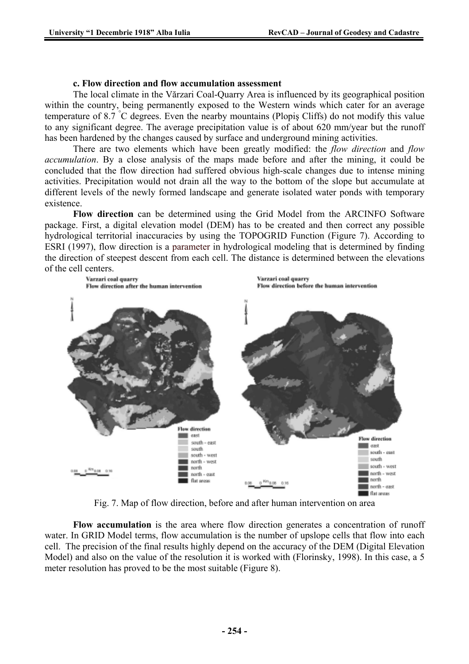#### **c. Flow direction and flow accumulation assessment**

The local climate in the Vărzari Coal-Quarry Area is influenced by its geographical position within the country, being permanently exposed to the Western winds which cater for an average temperature of 8.7 ° C degrees. Even the nearby mountains (Plopiş Cliffs) do not modify this value to any significant degree. The average precipitation value is of about 620 mm/year but the runoff has been hardened by the changes caused by surface and underground mining activities.

There are two elements which have been greatly modified: the *flow direction* and *flow accumulation*. By a close analysis of the maps made before and after the mining, it could be concluded that the flow direction had suffered obvious high-scale changes due to intense mining activities. Precipitation would not drain all the way to the bottom of the slope but accumulate at different levels of the newly formed landscape and generate isolated water ponds with temporary existence.

**Flow direction** can be determined using the Grid Model from the ARCINFO Software package. First, a digital elevation model (DEM) has to be created and then correct any possible hydrological territorial inaccuracies by using the TOPOGRID Function (Figure 7). According to ESRI (1997), flow direction is a parameter in hydrological modeling that is determined by finding the direction of steepest descent from each cell. The distance is determined between the elevations of the cell centers.



Fig. 7. Map of flow direction, before and after human intervention on area

**Flow accumulation** is the area where flow direction generates a concentration of runoff water. In GRID Model terms, flow accumulation is the number of upslope cells that flow into each cell. The precision of the final results highly depend on the accuracy of the DEM (Digital Elevation Model) and also on the value of the resolution it is worked with (Florinsky, 1998). In this case, a 5 meter resolution has proved to be the most suitable (Figure 8).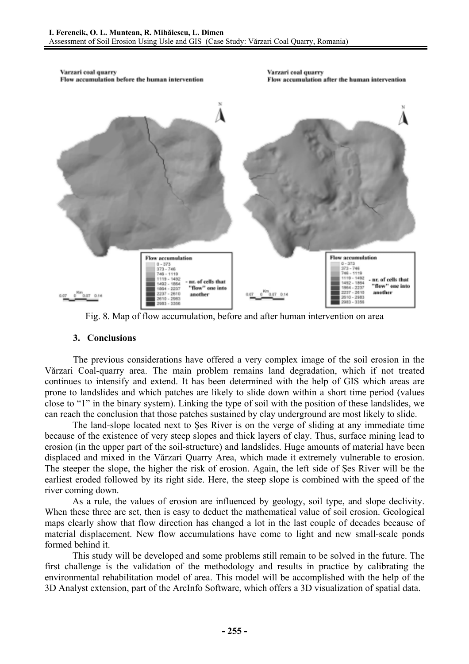

Fig. 8. Map of flow accumulation, before and after human intervention on area

### **3. Conclusions**

The previous considerations have offered a very complex image of the soil erosion in the Vărzari Coal-quarry area. The main problem remains land degradation, which if not treated continues to intensify and extend. It has been determined with the help of GIS which areas are prone to landslides and which patches are likely to slide down within a short time period (values close to "1" in the binary system). Linking the type of soil with the position of these landslides, we can reach the conclusion that those patches sustained by clay underground are most likely to slide.

The land-slope located next to Şes River is on the verge of sliding at any immediate time because of the existence of very steep slopes and thick layers of clay. Thus, surface mining lead to erosion (in the upper part of the soil-structure) and landslides. Huge amounts of material have been displaced and mixed in the Vărzari Quarry Area, which made it extremely vulnerable to erosion. The steeper the slope, the higher the risk of erosion. Again, the left side of Şes River will be the earliest eroded followed by its right side. Here, the steep slope is combined with the speed of the river coming down.

As a rule, the values of erosion are influenced by geology, soil type, and slope declivity. When these three are set, then is easy to deduct the mathematical value of soil erosion. Geological maps clearly show that flow direction has changed a lot in the last couple of decades because of material displacement. New flow accumulations have come to light and new small-scale ponds formed behind it.

This study will be developed and some problems still remain to be solved in the future. The first challenge is the validation of the methodology and results in practice by calibrating the environmental rehabilitation model of area. This model will be accomplished with the help of the 3D Analyst extension, part of the ArcInfo Software, which offers a 3D visualization of spatial data.